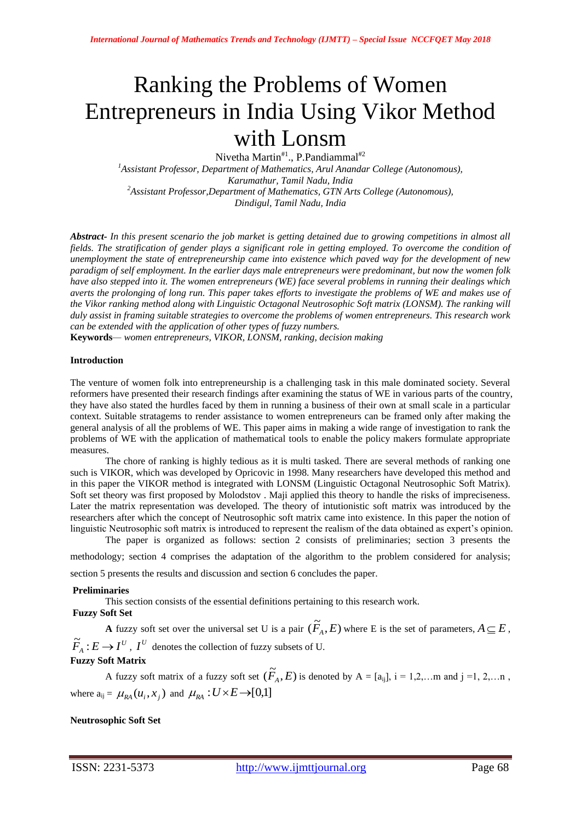# Ranking the Problems of Women Entrepreneurs in India Using Vikor Method with Lonsm

Nivetha Martin#1., P.Pandiammal#2

*<sup>1</sup>Assistant Professor, Department of Mathematics, Arul Anandar College (Autonomous), Karumathur, Tamil Nadu, India <sup>2</sup>Assistant Professor,Department of Mathematics, GTN Arts College (Autonomous), Dindigul, Tamil Nadu, India*

*Abstract- In this present scenario the job market is getting detained due to growing competitions in almost all fields. The stratification of gender plays a significant role in getting employed. To overcome the condition of unemployment the state of entrepreneurship came into existence which paved way for the development of new paradigm of self employment. In the earlier days male entrepreneurs were predominant, but now the women folk have also stepped into it. The women entrepreneurs (WE) face several problems in running their dealings which averts the prolonging of long run. This paper takes efforts to investigate the problems of WE and makes use of the Vikor ranking method along with Linguistic Octagonal Neutrosophic Soft matrix (LONSM). The ranking will duly assist in framing suitable strategies to overcome the problems of women entrepreneurs. This research work can be extended with the application of other types of fuzzy numbers.*

**Keywords***— women entrepreneurs, VIKOR, LONSM, ranking, decision making*

## **Introduction**

The venture of women folk into entrepreneurship is a challenging task in this male dominated society. Several reformers have presented their research findings after examining the status of WE in various parts of the country, they have also stated the hurdles faced by them in running a business of their own at small scale in a particular context. Suitable stratagems to render assistance to women entrepreneurs can be framed only after making the general analysis of all the problems of WE. This paper aims in making a wide range of investigation to rank the problems of WE with the application of mathematical tools to enable the policy makers formulate appropriate measures.

The chore of ranking is highly tedious as it is multi tasked. There are several methods of ranking one such is VIKOR, which was developed by Opricovic in 1998. Many researchers have developed this method and in this paper the VIKOR method is integrated with LONSM (Linguistic Octagonal Neutrosophic Soft Matrix). Soft set theory was first proposed by Molodstov . Maji applied this theory to handle the risks of impreciseness. Later the matrix representation was developed. The theory of intutionistic soft matrix was introduced by the researchers after which the concept of Neutrosophic soft matrix came into existence. In this paper the notion of linguistic Neutrosophic soft matrix is introduced to represent the realism of the data obtained as expert's opinion.

The paper is organized as follows: section 2 consists of preliminaries; section 3 presents the methodology; section 4 comprises the adaptation of the algorithm to the problem considered for analysis;

section 5 presents the results and discussion and section 6 concludes the paper.

## **Preliminaries**

This section consists of the essential definitions pertaining to this research work.

# **Fuzzy Soft Set**

**A** fuzzy soft set over the universal set U is a pair  $(\widetilde{F}_A, E)$  where E is the set of parameters,  $A \subseteq E$ ,  $\widetilde{F}_A: E \to I^U$ ,  $I^U$  denotes the collection of fuzzy subsets of U. **Fuzzy Soft Matrix**

A fuzzy soft matrix of a fuzzy soft set  $(\widetilde{F}_A, E)$  is denoted by  $A = [a_{ij}]$ ,  $i = 1, 2, ...$  m and  $j = 1, 2, ...$  n, where  $a_{ij} = \mu_{RA}(u_i, x_j)$  and  $\mu_{RA}: U \times E \rightarrow [0,1]$ 

# **Neutrosophic Soft Set**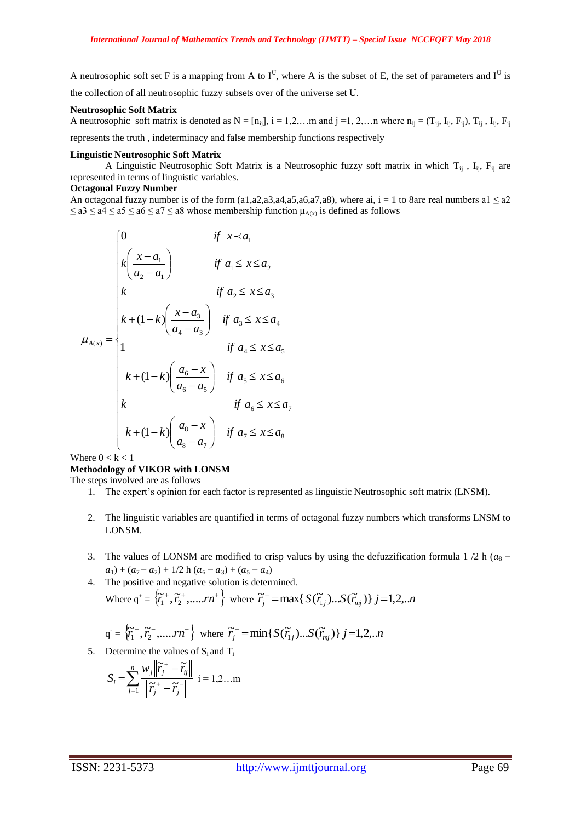A neutrosophic soft set F is a mapping from A to  $I^U$ , where A is the subset of E, the set of parameters and  $I^U$  is the collection of all neutrosophic fuzzy subsets over of the universe set U.

#### **Neutrosophic Soft Matrix**

A neutrosophic soft matrix is denoted as  $N = [n_{ij}]$ ,  $i = 1, 2, \ldots$  m and  $j = 1, 2, \ldots$  m where  $n_{ij} = (T_{ij}, I_{ij}, F_{ij})$ ,  $T_{ij}$ ,  $I_{ij}$ ,  $F_{ij}$ 

represents the truth , indeterminacy and false membership functions respectively

## **Linguistic Neutrosophic Soft Matrix**

A Linguistic Neutrosophic Soft Matrix is a Neutrosophic fuzzy soft matrix in which  $T_{ii}$ ,  $I_{ii}$ ,  $F_{ii}$  are represented in terms of linguistic variables.

## **Octagonal Fuzzy Number**

An octagonal fuzzy number is of the form (a1,a2,a3,a4,a5,a6,a7,a8), where ai, i = 1 to 8are real numbers a1  $\le a2$  $\le a$ 3  $\le a$ 4  $\le a$ 5  $\le a$ 6  $\le a$ 7  $\le a$ 8 whose membership function  $\mu_{A(x)}$  is defined as follows

$$
\mu_{A(x)} = \begin{cases}\n0 & \text{if } x \prec a_1 \\
k \left(\frac{x-a_1}{a_2-a_1}\right) & \text{if } a_1 \leq x \leq a_2 \\
k & \text{if } a_2 \leq x \leq a_3 \\
k + (1-k) \left(\frac{x-a_3}{a_4-a_3}\right) & \text{if } a_3 \leq x \leq a_4 \\
1 & \text{if } a_4 \leq x \leq a_5 \\
k + (1-k) \left(\frac{a_6-x}{a_6-a_5}\right) & \text{if } a_5 \leq x \leq a_6 \\
k & \text{if } a_6 \leq x \leq a_7 \\
k + (1-k) \left(\frac{a_8-x}{a_8-a_7}\right) & \text{if } a_7 \leq x \leq a_8\n\end{cases}
$$

Where  $0 < k < 1$ 

# **Methodology of VIKOR with LONSM**

The steps involved are as follows

- 1. The expert's opinion for each factor is represented as linguistic Neutrosophic soft matrix (LNSM).
- 2. The linguistic variables are quantified in terms of octagonal fuzzy numbers which transforms LNSM to LONSM.
- 3. The values of LONSM are modified to crisp values by using the defuzzification formula 1 /2 h ( $a_8$   $a_1$ ) + ( $a_7$  –  $a_2$ ) + 1/2 h ( $a_6$  –  $a_3$ ) + ( $a_5$  –  $a_4$ )
- 4. The positive and negative solution is determined. Where  $q^+ = \{\tilde{r}_1^+, \tilde{r}_2^+, \dots, rn^+\}$  where  $\tilde{r}_j^+ = \max\{S(\tilde{r}_j), S(\tilde{r}_{mj})\} j = 1, 2, ...n$

$$
q = {\overleftarrow{r_1}}, {\overleftarrow{r_2}}, \dots, rn^{-1} \text{ where } {\overleftarrow{r_j}} = min\{S(\overleftarrow{r_{1j}}) \dots S(\overleftarrow{r_{mj}})\} \text{ } j=1,2,..n
$$

5. Determine the values of  $S_i$  and  $T_i$ 

$$
S_i = \sum_{j=1}^n \frac{w_j \left\| \widetilde{r}_j^+ - \widetilde{r}_j \right\|}{\left\| \widetilde{r}_j^+ - \widetilde{r}_j^- \right\|} \quad i = 1, 2...m
$$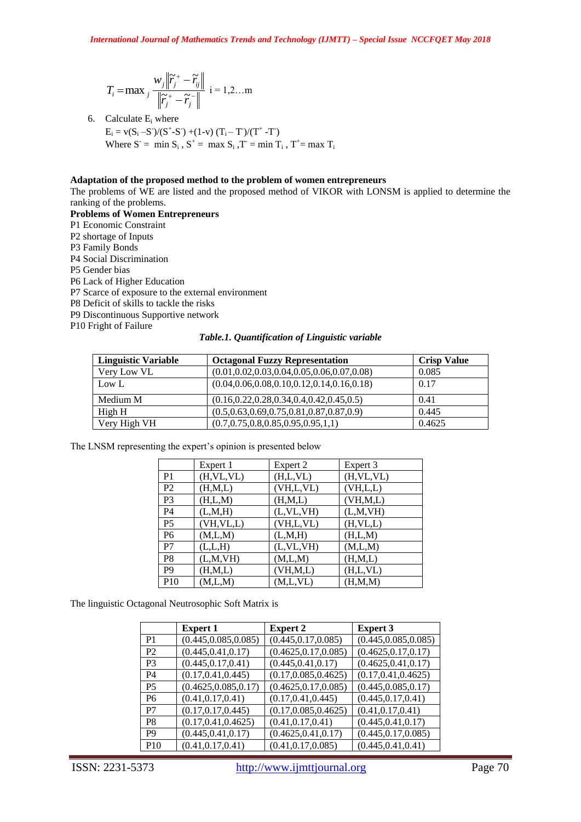$$
T_i = \max_j \frac{w_j \left\| \widetilde{r}_j^+ - \widetilde{r}_j \right\|}{\left\| \widetilde{r}_j^+ - \widetilde{r}_j^- \right\|} \quad i = 1, 2, \dots m
$$

6. Calculate E<sup>i</sup> where E<sup>i</sup> = v(S<sup>i</sup> –S - )/(S<sup>+</sup> -S - ) +(1-v) (Ti – T - )/(T<sup>+</sup> -T - ) Where S- = min S<sup>i</sup> , S<sup>+</sup> = max S<sup>i</sup> ,T- = min T<sup>i</sup> , T<sup>+</sup> = max T<sup>i</sup>

## **Adaptation of the proposed method to the problem of women entrepreneurs**

The problems of WE are listed and the proposed method of VIKOR with LONSM is applied to determine the ranking of the problems.

**Problems of Women Entrepreneurs** P1 Economic Constraint P2 shortage of Inputs P3 Family Bonds P4 Social Discrimination P5 Gender bias P6 Lack of Higher Education P7 Scarce of exposure to the external environment P8 Deficit of skills to tackle the risks P9 Discontinuous Supportive network P10 Fright of Failure

*Table.1. Quantification of Linguistic variable*

| <b>Linguistic Variable</b> | <b>Octagonal Fuzzy Representation</b>              | <b>Crisp Value</b> |
|----------------------------|----------------------------------------------------|--------------------|
| Very Low VL                | $(0.01, 0.02, 0.03, 0.04, 0.05, 0.06, 0.07, 0.08)$ | 0.085              |
| Low L                      | $(0.04, 0.06, 0.08, 0.10, 0.12, 0.14, 0.16, 0.18)$ | 0.17               |
| Medium M                   | $(0.16, 0.22, 0.28, 0.34, 0.4, 0.42, 0.45, 0.5)$   | 0.41               |
| High H                     | $(0.5, 0.63, 0.69, 0.75, 0.81, 0.87, 0.87, 0.9)$   | 0.445              |
| Very High VH               | $(0.7, 0.75, 0.8, 0.85, 0.95, 0.95, 1, 1)$         | 0.4625             |

The LNSM representing the expert's opinion is presented below

|                 | Expert 1    | Expert 2    | Expert 3    |
|-----------------|-------------|-------------|-------------|
| P <sub>1</sub>  | (H, VL, VL) | (H,L,VL)    | (H, VL, VL) |
| P <sub>2</sub>  | (H,M,L)     | (VH,L,VL)   | (VH,L,L)    |
| P <sub>3</sub>  | (H,L,M)     | (H,M,L)     | (VH, M, L)  |
| P4              | (L,M,H)     | (L, VL, VH) | (L,M,VH)    |
| P <sub>5</sub>  | (VH, VL, L) | (VH,L,VL)   | (H, VL, L)  |
| P <sub>6</sub>  | (M,L,M)     | (L,M,H)     | (H,L,M)     |
| P7              | (L,L,H)     | (L, VL, VH) | (M,L,M)     |
| P8              | (L,M,VH)    | (M,L,M)     | (H,M,L)     |
| P <sub>9</sub>  | (H,M,L)     | (VH, M, L)  | (H,L,VL)    |
| P <sub>10</sub> | (M,L,M)     | (M,L,VL)    | (H, M, M)   |

The linguistic Octagonal Neutrosophic Soft Matrix is

|                | <b>Expert 1</b>       | <b>Expert 2</b>       | <b>Expert 3</b>       |
|----------------|-----------------------|-----------------------|-----------------------|
| P1             | (0.445, 0.085, 0.085) | (0.445, 0.17, 0.085)  | (0.445, 0.085, 0.085) |
| P <sub>2</sub> | (0.445, 0.41, 0.17)   | (0.4625, 0.17, 0.085) | (0.4625, 0.17, 0.17)  |
| P3             | (0.445, 0.17, 0.41)   | (0.445, 0.41, 0.17)   | (0.4625, 0.41, 0.17)  |
| P <sub>4</sub> | (0.17, 0.41, 0.445)   | (0.17, 0.085, 0.4625) | (0.17, 0.41, 0.4625)  |
| P <sub>5</sub> | (0.4625, 0.085, 0.17) | (0.4625, 0.17, 0.085) | (0.445, 0.085, 0.17)  |
| P6             | (0.41, 0.17, 0.41)    | (0.17, 0.41, 0.445)   | (0.445, 0.17, 0.41)   |
| P7             | (0.17, 0.17, 0.445)   | (0.17, 0.085, 0.4625) | (0.41, 0.17, 0.41)    |
| P8             | (0.17, 0.41, 0.4625)  | (0.41, 0.17, 0.41)    | (0.445, 0.41, 0.17)   |
| P9             | (0.445, 0.41, 0.17)   | (0.4625, 0.41, 0.17)  | (0.445, 0.17, 0.085)  |
| <b>P10</b>     | (0.41, 0.17, 0.41)    | (0.41, 0.17, 0.085)   | (0.445, 0.41, 0.41)   |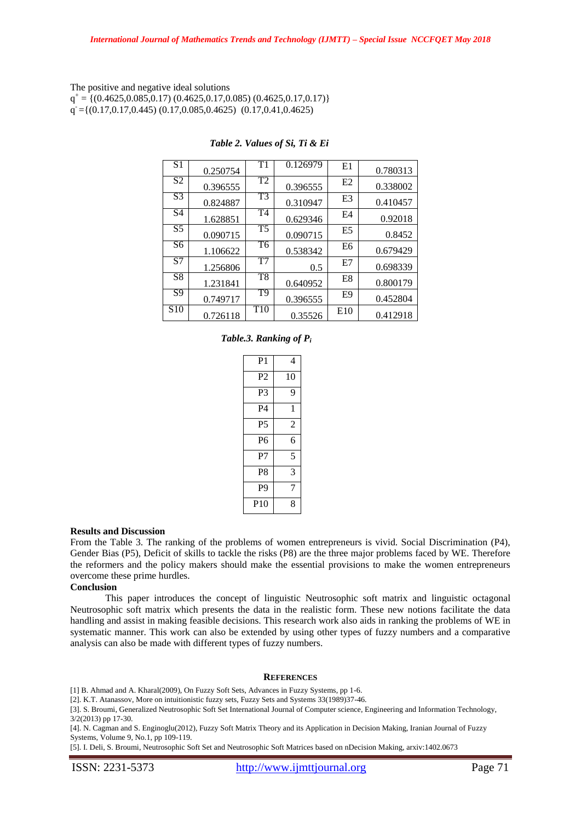The positive and negative ideal solutions  $q^+ = \{(0.4625, 0.085, 0.17), (0.4625, 0.17, 0.085), (0.4625, 0.17, 0.17)\}$  $q = \{(0.17, 0.17, 0.445) (0.17, 0.085, 0.4625) (0.17, 0.41, 0.4625)$ 

| S <sub>1</sub>  | 0.250754 | T1                     | 0.126979 | E1             | 0.780313 |
|-----------------|----------|------------------------|----------|----------------|----------|
| S2              | 0.396555 | T2                     | 0.396555 | E2             | 0.338002 |
| $\overline{S3}$ | 0.824887 | T3                     | 0.310947 | E <sub>3</sub> | 0.410457 |
| $\overline{S4}$ | 1.628851 | $\overline{\text{T4}}$ | 0.629346 | E4             | 0.92018  |
| $\overline{S5}$ | 0.090715 | T5                     | 0.090715 | E <sub>5</sub> | 0.8452   |
| $\overline{S}6$ | 1.106622 | T <sub>6</sub>         | 0.538342 | E6             | 0.679429 |
| S7              | 1.256806 | T7                     | 0.5      | E7             | 0.698339 |
| S <sub>8</sub>  | 1.231841 | T <sub>8</sub>         | 0.640952 | E8             | 0.800179 |
| S9              | 0.749717 | $\overline{T9}$        | 0.396555 | E9             | 0.452804 |
| S <sub>10</sub> | 0.726118 | T <sub>10</sub>        | 0.35526  | E10            | 0.412918 |

## *Table 2. Values of Si, Ti & Ei*

## *Table.3. Ranking of P<sup>i</sup>*

| P1              | 4              |
|-----------------|----------------|
| P2              | 10             |
| P3              | 9              |
| P4              | 1              |
| P5              | $\mathfrak{D}$ |
| P6              | 6              |
| P7              | 5              |
| P8              | 3              |
| P9              | 7              |
| P <sub>10</sub> | 8              |
|                 |                |

#### **Results and Discussion**

From the Table 3. The ranking of the problems of women entrepreneurs is vivid. Social Discrimination (P4), Gender Bias (P5), Deficit of skills to tackle the risks (P8) are the three major problems faced by WE. Therefore the reformers and the policy makers should make the essential provisions to make the women entrepreneurs overcome these prime hurdles.

## **Conclusion**

This paper introduces the concept of linguistic Neutrosophic soft matrix and linguistic octagonal Neutrosophic soft matrix which presents the data in the realistic form. These new notions facilitate the data handling and assist in making feasible decisions. This research work also aids in ranking the problems of WE in systematic manner. This work can also be extended by using other types of fuzzy numbers and a comparative analysis can also be made with different types of fuzzy numbers.

#### **REFERENCES**

[1] B. Ahmad and A. Kharal(2009), On Fuzzy Soft Sets, Advances in Fuzzy Systems, pp 1-6.

[2]. K.T. Atanassov, More on intuitionistic fuzzy sets, Fuzzy Sets and Systems 33(1989)37-46.

[3]. S. Broumi, Generalized Neutrosophic Soft Set International Journal of Computer science, Engineering and Information Technology, 3/2(2013) pp 17-30.

[4]. N. Cagman and S. Enginoglu(2012), Fuzzy Soft Matrix Theory and its Application in Decision Making, Iranian Journal of Fuzzy Systems, Volume 9, No.1, pp 109-119.

[5]. I. Deli, S. Broumi, Neutrosophic Soft Set and Neutrosophic Soft Matrices based on nDecision Making, arxiv:1402.0673